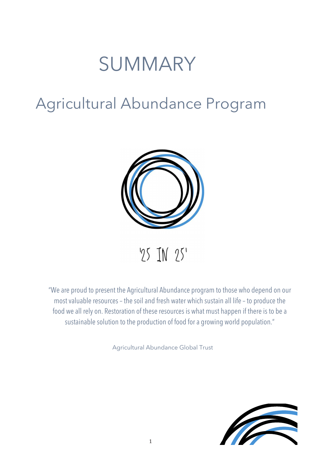# SUMMARY

### Agricultural Abundance Program



 $95$  JN  $95'$ 

"We are proud to present the Agricultural Abundance program to those who depend on our most valuable resources – the soil and fresh water which sustain all life – to produce the food we all rely on. Restoration of these resources is what must happen if there is to be a sustainable solution to the production of food for a growing world population."

Agricultural Abundance Global Trust

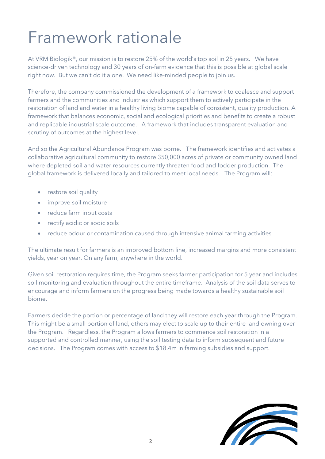### Framework rationale

At VRM Biologik®, our mission is to restore 25% of the world's top soil in 25 years. We have science-driven technology and 30 years of on-farm evidence that this is possible at global scale right now. But we can't do it alone. We need like-minded people to join us.

Therefore, the company commissioned the development of a framework to coalesce and support farmers and the communities and industries which support them to actively participate in the restoration of land and water in a healthy living biome capable of consistent, quality production. A framework that balances economic, social and ecological priorities and benefits to create a robust and replicable industrial scale outcome. A framework that includes transparent evaluation and scrutiny of outcomes at the highest level.

And so the Agricultural Abundance Program was borne. The framework identifies and activates a collaborative agricultural community to restore 350,000 acres of private or community owned land where depleted soil and water resources currently threaten food and fodder production. The global framework is delivered locally and tailored to meet local needs. The Program will:

- restore soil quality
- improve soil moisture
- reduce farm input costs
- rectify acidic or sodic soils
- reduce odour or contamination caused through intensive animal farming activities

The ultimate result for farmers is an improved bottom line, increased margins and more consistent yields, year on year. On any farm, anywhere in the world.

Given soil restoration requires time, the Program seeks farmer participation for 5 year and includes soil monitoring and evaluation throughout the entire timeframe. Analysis of the soil data serves to encourage and inform farmers on the progress being made towards a healthy sustainable soil biome.

Farmers decide the portion or percentage of land they will restore each year through the Program. This might be a small portion of land, others may elect to scale up to their entire land owning over the Program. Regardless, the Program allows farmers to commence soil restoration in a supported and controlled manner, using the soil testing data to inform subsequent and future decisions. The Program comes with access to \$18.4m in farming subsidies and support.

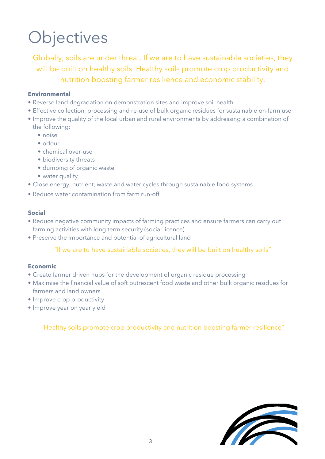# **Objectives**

Globally, soils are under threat. If we are to have sustainable societies, they will be built on healthy soils. Healthy soils promote crop productivity and nutrition boosting farmer resilience and economic stability.

#### **Environmental**

- Reverse land degradation on demonstration sites and improve soil health
- Effective collection, processing and re-use of bulk organic residues for sustainable on-farm use
- Improve the quality of the local urban and rural environments by addressing a combination of the following:
	- noise
	- odour
	- chemical over-use
	- biodiversity threats
	- dumping of organic waste
	- water quality
- Close energy, nutrient, waste and water cycles through sustainable food systems
- Reduce water contamination from farm run-off

#### **Social**

- Reduce negative community impacts of farming practices and ensure farmers can carry out farming activities with long term security (social licence)
- Preserve the importance and potential of agricultural land

#### "If we are to have sustainable societies, they will be built on healthy soils"

#### **Economic**

- Create farmer driven hubs for the development of organic residue processing
- Maximise the financial value of soft putrescent food waste and other bulk organic residues for farmers and land owners
- Improve crop productivity
- Improve year on year yield

#### "Healthy soils promote crop productivity and nutrition boosting farmer resilience"

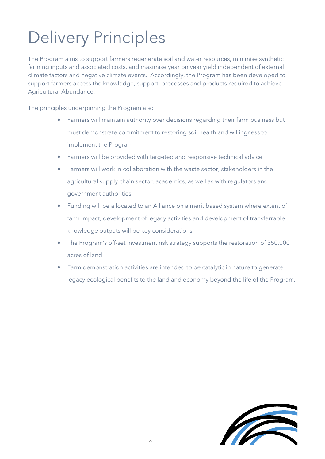# Delivery Principles

The Program aims to support farmers regenerate soil and water resources, minimise synthetic farming inputs and associated costs, and maximise year on year yield independent of external climate factors and negative climate events. Accordingly, the Program has been developed to support farmers access the knowledge, support, processes and products required to achieve Agricultural Abundance.

The principles underpinning the Program are:

- Farmers will maintain authority over decisions regarding their farm business but must demonstrate commitment to restoring soil health and willingness to implement the Program
- Farmers will be provided with targeted and responsive technical advice
- Farmers will work in collaboration with the waste sector, stakeholders in the agricultural supply chain sector, academics, as well as with regulators and government authorities
- Funding will be allocated to an Alliance on a merit based system where extent of farm impact, development of legacy activities and development of transferrable knowledge outputs will be key considerations
- The Program's off-set investment risk strategy supports the restoration of 350,000 acres of land
- Farm demonstration activities are intended to be catalytic in nature to generate legacy ecological benefits to the land and economy beyond the life of the Program.

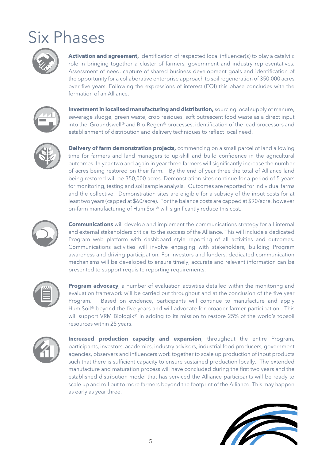## Six Phases



**Activation and agreement,** identification of respected local influencer(s) to play a catalytic role in bringing together a cluster of farmers, government and industry representatives. Assessment of need, capture of shared business development goals and identification of the opportunity for a collaborative enterprise approach to soil regeneration of 350,000 acres over five years. Following the expressions of interest (EOI) this phase concludes with the formation of an Alliance.



**Investment in localised manufacturing and distribution,** sourcing local supply of manure, sewerage sludge, green waste, crop residues, soft putrescent food waste as a direct input into the Groundswell® and Bio-Regen® processes, identification of the lead processors and establishment of distribution and delivery techniques to reflect local need.



**Delivery of farm demonstration projects,** commencing on a small parcel of land allowing time for farmers and land managers to up-skill and build confidence in the agricultural outcomes. In year two and again in year three farmers will significantly increase the number of acres being restored on their farm. By the end of year three the total of Alliance land being restored will be 350,000 acres. Demonstration sites continue for a period of 5 years for monitoring, testing and soil sample analysis. Outcomes are reported for individual farms and the collective. Demonstration sites are eligible for a subsidy of the input costs for at least two years (capped at \$60/acre). For the balance costs are capped at \$90/acre, however on-farm manufacturing of HumiSoil® will significantly reduce this cost.



**Communications** will develop and implement the communications strategy for all internal and external stakeholders critical to the success of the Alliance. This will include a dedicated Program web platform with dashboard style reporting of all activities and outcomes. Communications activities will involve engaging with stakeholders, building Program awareness and driving participation. For investors and funders, dedicated communication mechanisms will be developed to ensure timely, accurate and relevant information can be presented to support requisite reporting requirements.



**Program advocacy**, a number of evaluation activities detailed within the monitoring and evaluation framework will be carried out throughout and at the conclusion of the five year Program. Based on evidence, participants will continue to manufacture and apply HumiSoil® beyond the five years and will advocate for broader farmer participation. This will support VRM Biologik® in adding to its mission to restore 25% of the world's topsoil resources within 25 years.



**Increased production capacity and expansion**, throughout the entire Program, participants, investors, academics, industry advisors, industrial food producers, government agencies, observers and influencers work together to scale up production of input products such that there is sufficient capacity to ensure sustained production locally. The extended manufacture and maturation process will have concluded during the first two years and the established distribution model that has serviced the Alliance participants will be ready to scale up and roll out to more farmers beyond the footprint of the Alliance. This may happen as early as year three.

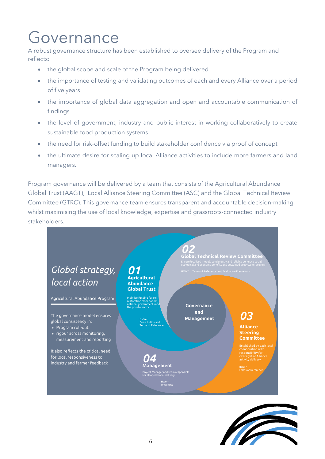### Governance

A robust governance structure has been established to oversee delivery of the Program and reflects:

- the global scope and scale of the Program being delivered
- the importance of testing and validating outcomes of each and every Alliance over a period of five years
- the importance of global data aggregation and open and accountable communication of findings
- the level of government, industry and public interest in working collaboratively to create sustainable food production systems
- the need for risk-offset funding to build stakeholder confidence via proof of concept
- the ultimate desire for scaling up local Alliance activities to include more farmers and land managers.

Program governance will be delivered by a team that consists of the Agricultural Abundance Global Trust (AAGT), Local Alliance Steering Committee (ASC) and the Global Technical Review Committee (GTRC). This governance team ensures transparent and accountable decision-making, whilst maximising the use of local knowledge, expertise and grassroots-connected industry stakeholders.